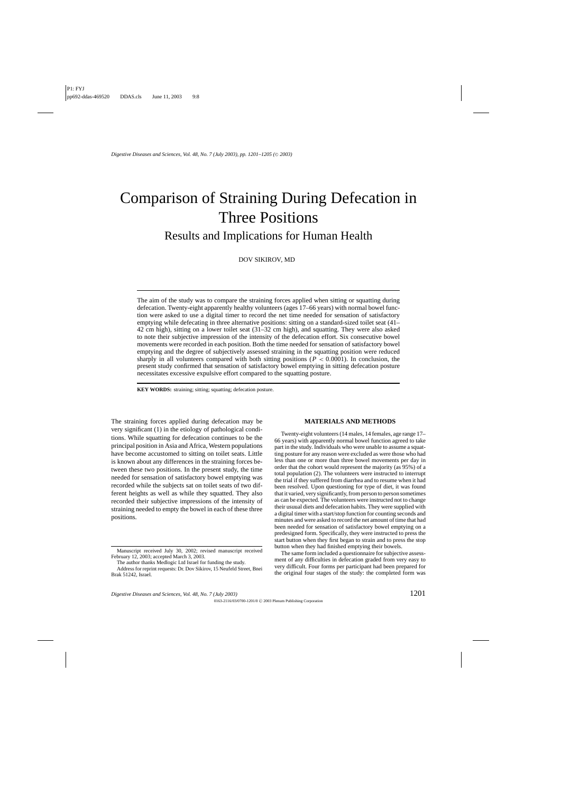# Comparison of Straining During Defecation in Three Positions Results and Implications for Human Health

DOV SIKIROV, MD

The aim of the study was to compare the straining forces applied when sitting or squatting during defecation. Twenty-eight apparently healthy volunteers (ages 17–66 years) with normal bowel function were asked to use a digital timer to record the net time needed for sensation of satisfactory emptying while defecating in three alternative positions: sitting on a standard-sized toilet seat (41– 42 cm high), sitting on a lower toilet seat (31–32 cm high), and squatting. They were also asked to note their subjective impression of the intensity of the defecation effort. Six consecutive bowel movements were recorded in each position. Both the time needed for sensation of satisfactory bowel emptying and the degree of subjectively assessed straining in the squatting position were reduced sharply in all volunteers compared with both sitting positions  $(P < 0.0001)$ . In conclusion, the present study confirmed that sensation of satisfactory bowel emptying in sitting defecation posture necessitates excessive expulsive effort compared to the squatting posture.

**KEY WORDS:** straining; sitting; squatting; defecation posture.

The straining forces applied during defecation may be very significant (1) in the etiology of pathological conditions. While squatting for defecation continues to be the principal position in Asia and Africa, Western populations have become accustomed to sitting on toilet seats. Little is known about any differences in the straining forces between these two positions. In the present study, the time needed for sensation of satisfactory bowel emptying was recorded while the subjects sat on toilet seats of two different heights as well as while they squatted. They also recorded their subjective impressions of the intensity of straining needed to empty the bowel in each of these three positions.

### **MATERIALS AND METHODS**

Twenty-eight volunteers (14 males, 14 females, age range 17– 66 years) with apparently normal bowel function agreed to take part in the study. Individuals who were unable to assume a squatting posture for any reason were excluded as were those who had less than one or more than three bowel movements per day in order that the cohort would represent the majority (as 95%) of a total population (2). The volunteers were instructed to interrupt the trial if they suffered from diarrhea and to resume when it had been resolved. Upon questioning for type of diet, it was found that it varied, very significantly, from person to person sometimes as can be expected. The volunteers were instructed not to change their usuual diets and defecation habits. They were supplied with a digital timer with a start/stop function for counting seconds and minutes and were asked to record the net amount of time that had been needed for sensation of satisfactory bowel emptying on a predesigned form. Specifically, they were instructed to press the start button when they first began to strain and to press the stop button when they had finished emptying their bowels.

The same form included a questionnaire for subjective assessment of any difficulties in defecation graded from very easy to very difficult. Four forms per participant had been prepared for the original four stages of the study: the completed form was

Manuscript received July 30, 2002; revised manuscript received February 12, 2003; accepted March 3, 2003.

The author thanks Medlogic Ltd Israel for funding the study.

Address for reprint requests: Dr. Dov Sikirov, 15 Neufeld Street, Bnei Brak 51242, Israel.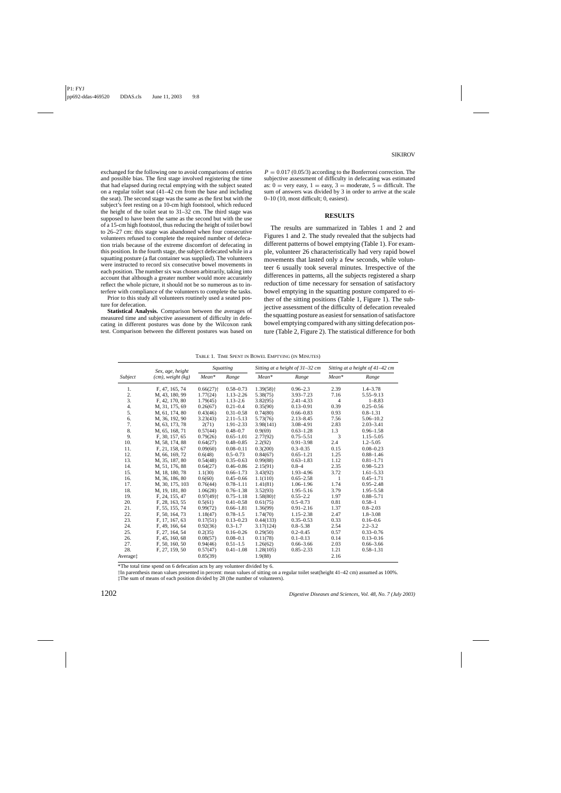exchanged for the following one to avoid comparisons of entries and possible bias. The first stage involved registering the time that had elapsed during rectal emptying with the subject seated on a regular toilet seat (41–42 cm from the base and including the seat). The second stage was the same as the first but with the subject's feet resting on a 10-cm high footstool, which reduced the height of the toilet seat to 31–32 cm. The third stage was supposed to have been the same as the second but with the use of a 15-cm high footstool, thus reducing the height of toilet bowl to 26–27 cm: this stage was abandoned when four consecutive volunteers refused to complete the required number of defecation trials because of the extreme discomfort of defecating in this position. In the fourth stage, the subject defecated while in a squatting posture (a flat container was supplied). The volunteers were instructed to record six consecutive bowel movements in each position. The number six was chosen arbitrarily, taking into account that although a greater number would more accurately reflect the whole picture, it should not be so numerous as to interfere with compliance of the volunteers to complete the tasks.

Prior to this study all volunteers routinely used a seated posture for defecation.

**Statistical Analysis.** Comparison between the averages of measured time and subjective assessment of difficulty in defecating in different postures was done by the Wilcoxon rank test. Comparison between the different postures was based on  $P = 0.017 (0.05/3)$  according to the Bonferroni correction. The subjective assessment of difficulty in defecating was estimated as:  $0 = \text{very easy}, 1 = \text{easy}, 3 = \text{moderate}, 5 = \text{difficult}.$  The sum of answers was divided by 3 in order to arrive at the scale 0–10 (10, most difficult; 0, easiest).

## **RESULTS**

The results are summarized in Tables 1 and 2 and Figures 1 and 2. The study revealed that the subjects had different patterns of bowel emptying (Table 1). For example, volunteer 26 characteristically had very rapid bowel movements that lasted only a few seconds, while volunteer 6 usually took several minutes. Irrespective of the differences in patterns, all the subjects registered a sharp reduction of time necessary for sensation of satisfactory bowel emptying in the squatting posture compared to either of the sitting positions (Table 1, Figure 1). The subjective assessment of the difficulty of defecation revealed the squatting posture as easiest for sensation of satisfactore bowel emptying compared with any sitting defecation posture (Table 2, Figure 2). The statistical difference for both

| TABLE 1. TIME SPENT IN BOWEL EMPTYING (IN MINUTES) |                        |                         |               |                         |                                 |                                 |               |  |  |  |  |
|----------------------------------------------------|------------------------|-------------------------|---------------|-------------------------|---------------------------------|---------------------------------|---------------|--|--|--|--|
| Subject                                            | Sex, age, height       | Squatting               |               |                         | Sitting at a height of 31–32 cm | Sitting at a height of 41–42 cm |               |  |  |  |  |
|                                                    | $(cm)$ , weight $(kg)$ | Mean*                   | Range         | $Mean*$                 | Range                           | $Mean*$                         | Range         |  |  |  |  |
| 1.                                                 | F, 47, 165, 74         | $0.66(27)$ <sup>+</sup> | $0.58 - 0.73$ | $1.39(58)$ <sup>+</sup> | $0.96 - 2.3$                    | 2.39                            | $1.4 - 3.78$  |  |  |  |  |
| 2.                                                 | M, 43, 180, 99         | 1.77(24)                | $1.13 - 2.26$ | 5.38(75)                | $3.93 - 7.23$                   | 7.16                            | $5.55 - 9.13$ |  |  |  |  |
| 3.                                                 | F, 42, 170, 80         | 1.79(45)                | $1.13 - 2.6$  | 3.82(95)                | $2.41 - 4.33$                   | $\overline{4}$                  | $1 - 8.83$    |  |  |  |  |
| 4.                                                 | M, 31, 175, 69         | 0.26(67)                | $0.21 - 0.4$  | 0.35(90)                | $0.13 - 0.91$                   | 0.39                            | $0.25 - 0.56$ |  |  |  |  |
| 5.                                                 | M, 61, 174, 80         | 0.43(46)                | $0.31 - 0.58$ | 0.74(80)                | $0.66 - 0.83$                   | 0.93                            | $0.8 - 1.31$  |  |  |  |  |
| 6.                                                 | M, 36, 192, 90         | 3.23(43)                | $2.11 - 5.13$ | 5.73(76)                | $2.13 - 8.45$                   | 7.56                            | $5.06 - 10.2$ |  |  |  |  |
| 7.                                                 | M, 63, 173, 78         | 2(71)                   | $1.91 - 2.33$ | 3.98(141)               | 3.08-4.91                       | 2.83                            | $2.03 - 3.41$ |  |  |  |  |
| 8.                                                 | M, 65, 168, 71         | 0.57(44)                | $0.48 - 0.7$  | 0.9(69)                 | $0.63 - 1.28$                   | 1.3                             | $0.96 - 1.58$ |  |  |  |  |
| 9.                                                 | F, 30, 157, 65         | 0.79(26)                | $0.65 - 1.01$ | 2.77(92)                | $0.75 - 5.51$                   | 3                               | $1.15 - 5.05$ |  |  |  |  |
| 10.                                                | M, 58, 174, 88         | 0.64(27)                | $0.48 - 0.85$ | 2.2(92)                 | $0.91 - 3.98$                   | 2.4                             | $1.2 - 5.05$  |  |  |  |  |
| 11.                                                | F, 21, 158, 67         | 0.09(60)                | $0.08 - 0.11$ | 0.3(200)                | $0.3 - 0.35$                    | 0.15                            | $0.08 - 0.23$ |  |  |  |  |
| 12.                                                | M, 66, 169, 72         | 0.6(48)                 | $0.5 - 0.73$  | 0.84(67)                | $0.65 - 1.21$                   | 1.25                            | $0.88 - 1.46$ |  |  |  |  |
| 13.                                                | M, 35, 187, 80         | 0.54(48)                | $0.35 - 0.63$ | 0.99(88)                | $0.63 - 1.83$                   | 1.12                            | $0.81 - 1.71$ |  |  |  |  |
| 14.                                                | M, 51, 176, 88         | 0.64(27)                | $0.46 - 0.86$ | 2.15(91)                | $0.8 - 4$                       | 2.35                            | $0.98 - 5.23$ |  |  |  |  |
| 15.                                                | M, 18, 180, 78         | 1.1(30)                 | $0.66 - 1.73$ | 3.43(92)                | 1.93-4.96                       | 3.72                            | $1.61 - 5.33$ |  |  |  |  |
| 16.                                                | M, 36, 186, 80         | 0.6(60)                 | $0.45 - 0.66$ | 1.1(110)                | $0.65 - 2.58$                   | 1                               | $0.45 - 1.71$ |  |  |  |  |
| 17.                                                | M, 30, 175, 103        | 0.76(44)                | $0.78 - 1.11$ | 1.41(81)                | $1.06 - 1.96$                   | 1.74                            | $0.95 - 2.48$ |  |  |  |  |
| 18.                                                | M, 19, 181, 80         | 1.06(28)                | $0.76 - 1.38$ | 3.52(93)                | $1.95 - 5.16$                   | 3.79                            | $1.95 - 5.58$ |  |  |  |  |
| 19.                                                | F, 24, 155, 47         | $0.97(49)$ <sup>+</sup> | $0.75 - 1.18$ | $1.58(80)$ <sup>+</sup> | $0.55 - 2.2$                    | 1.97                            | $0.88 - 5.71$ |  |  |  |  |
| 20.                                                | F, 28, 163, 55         | 0.5(61)                 | $0.41 - 0.58$ | 0.61(75)                | $0.5 - 0.73$                    | 0.81                            | $0.58 - 1$    |  |  |  |  |
| 21.                                                | F, 55, 155, 74         | 0.99(72)                | $0.66 - 1.81$ | 1.36(99)                | $0.91 - 2.16$                   | 1.37                            | $0.8 - 2.03$  |  |  |  |  |
| 22.                                                | F, 50, 164, 73         | 1.18(47)                | $0.78 - 1.5$  | 1.74(70)                | $1.15 - 2.38$                   | 2.47                            | $1.8 - 3.08$  |  |  |  |  |
| 23.                                                | F, 17, 167, 63         | 0.17(51)                | $0.13 - 0.23$ | 0.44(133)               | $0.35 - 0.53$                   | 0.33                            | $0.16 - 0.6$  |  |  |  |  |
| 24.                                                | F, 49, 166, 64         | 0.92(36)                | $0.3 - 1.7$   | 3.17(124)               | $0.8 - 5.38$                    | 2.54                            | $2.2 - 3.2$   |  |  |  |  |
| 25.                                                | F, 27, 164, 54         | 0.2(35)                 | $0.16 - 0.26$ | 0.29(50)                | $0.2 - 0.45$                    | 0.57                            | $0.33 - 0.76$ |  |  |  |  |
| 26.                                                | F, 45, 160, 68         | 0.08(57)                | $0.08 - 0.1$  | 0.11(78)                | $0.1 - 0.13$                    | 0.14                            | $0.13 - 0.16$ |  |  |  |  |
| 27.                                                | F, 50, 160, 50         | 0.94(46)                | $0.51 - 1.5$  | 1.26(62)                | $0.66 - 3.66$                   | 2.03                            | $0.66 - 3.66$ |  |  |  |  |
| 28.                                                | F, 27, 159, 50         | 0.57(47)                | $0.41 - 1.08$ | 1.28(105)               | $0.85 - 2.33$                   | 1.21                            | $0.58 - 1.31$ |  |  |  |  |
| Average <sup>+</sup>                               |                        | 0.85(39)                |               | 1.9(88)                 |                                 | 2.16                            |               |  |  |  |  |

TABLE 1. TIME SPENT IN BOWEL EMPTYING (IN MINUTES)

\*The total time spend on 6 defecation acts by any volunteer divided by 6.

†In parenthesis mean values presented in percent: mean values of sitting on a regular toilet seat(height 41–42 cm) assumed as 100%. ‡The sum of means of each position divided by 28 (the number of volunteers).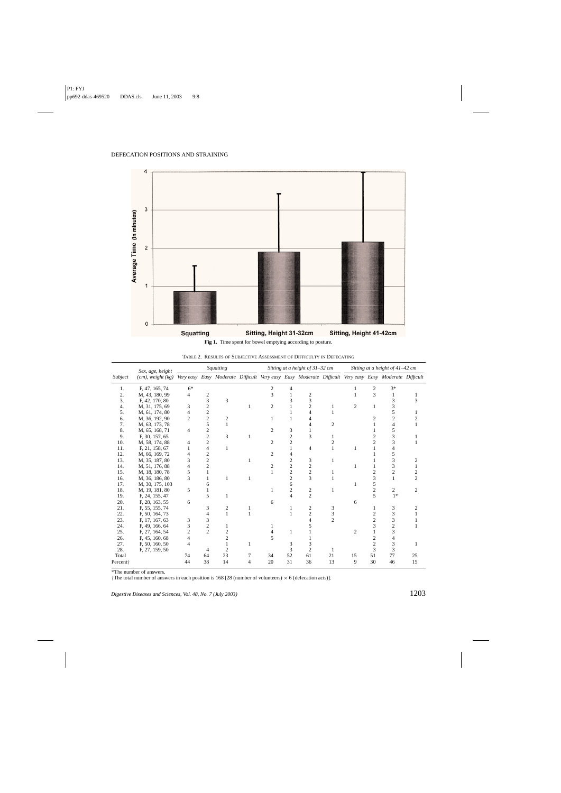

**Fig 1.** Time spent for bowel emptying according to posture.

TABLE 2. RESULTS OF SUBJECTIVE ASSESSMENT OF DIFFICULTY IN DEFECATING

| Subject              | Sex, age, height<br>$(cm)$ , weight $(kg)$ | Squatting      |                         |                                                                                                       | Sitting at a height of 31-32 cm |                |                |                | Sitting at a height of 41-42 cm |                |                |                |    |
|----------------------|--------------------------------------------|----------------|-------------------------|-------------------------------------------------------------------------------------------------------|---------------------------------|----------------|----------------|----------------|---------------------------------|----------------|----------------|----------------|----|
|                      |                                            |                |                         | Very easy Easy Moderate Difficult Very easy Easy Moderate Difficult Very easy Easy Moderate Difficult |                                 |                |                |                |                                 |                |                |                |    |
| 1.                   | F, 47, 165, 74                             | $6*$           |                         |                                                                                                       |                                 | 2              |                |                |                                 |                | $\overline{c}$ | $3*$           |    |
| 2.                   | M, 43, 180, 99                             | 4              | 2                       |                                                                                                       |                                 | 3              |                | $\overline{c}$ |                                 |                | 3              | 1              |    |
| 3.                   | F, 42, 170, 80                             |                | 3                       | 3                                                                                                     |                                 |                |                | 3              |                                 |                |                | 3              | 3  |
| 4.                   | M, 31, 175, 69                             | 3              | $\overline{c}$          |                                                                                                       | 1                               | 2              |                | $\overline{c}$ |                                 | $\overline{c}$ | 1              | 3              |    |
| 5.                   | M, 61, 174, 80                             |                | 2                       |                                                                                                       |                                 |                |                | 4              |                                 |                |                | 5              |    |
| 6.                   | M, 36, 192, 90                             | $\mathfrak{D}$ | $\overline{\mathbf{c}}$ | 2                                                                                                     |                                 |                |                |                |                                 |                |                | $\overline{c}$ |    |
| 7.                   | M, 63, 173, 78                             |                | 5                       |                                                                                                       |                                 |                |                |                | $\overline{c}$                  |                |                | 4              |    |
| 8.                   | M, 65, 168, 71                             | 4              | $\overline{c}$          |                                                                                                       |                                 | 2              | 3              |                |                                 |                |                | 5              |    |
| 9.                   | F, 30, 157, 65                             |                | $\overline{c}$          | 3                                                                                                     | 1                               |                | $\overline{c}$ | 3              |                                 |                |                | 3              |    |
| 10.                  | M, 58, 174, 88                             |                | $\overline{\mathbf{c}}$ |                                                                                                       |                                 | 2              | $\overline{c}$ |                |                                 |                |                | 3              |    |
| 11.                  | F, 21, 158, 67                             |                | 4                       | 1                                                                                                     |                                 |                |                | 4              |                                 |                |                | 4              |    |
| 12.                  | M, 66, 169, 72                             |                | 2                       |                                                                                                       |                                 | 2              |                |                |                                 |                |                | 5              |    |
| 13.                  | M, 35, 187, 80                             |                | $\overline{c}$          |                                                                                                       | 1                               |                | 2              | 3              | 1                               |                |                | 3              | 2  |
| 14.                  | M, 51, 176, 88                             |                | $\overline{c}$          |                                                                                                       |                                 | $\mathfrak{D}$ | $\overline{c}$ | $\overline{c}$ |                                 |                |                | 3              |    |
| 15.                  | M, 18, 180, 78                             | 5              |                         |                                                                                                       |                                 |                | $\overline{c}$ | $\overline{c}$ |                                 |                |                | $\overline{2}$ |    |
| 16.                  | M, 36, 186, 80                             | 3              |                         | 1                                                                                                     | 1                               |                | $\overline{c}$ | 3              |                                 |                | 3              | $\mathbf{1}$   | 2  |
| 17.                  | M, 30, 175, 103                            |                | 6                       |                                                                                                       |                                 |                | 6              |                |                                 |                | 5              |                |    |
| 18.                  | M, 19, 181, 80                             | 5              |                         |                                                                                                       |                                 |                | 2              | $\overline{c}$ |                                 |                |                | 2              | 2  |
| 19.                  | F, 24, 155, 47                             |                | 5                       | 1                                                                                                     |                                 |                |                | $\overline{c}$ |                                 |                | 5              | $1*$           |    |
| 20.                  | F, 28, 163, 55                             | 6              |                         |                                                                                                       |                                 | 6              |                |                |                                 | 6              |                |                |    |
| 21.                  | F, 55, 155, 74                             |                | 3                       | 2                                                                                                     |                                 |                |                | $\overline{c}$ | 3                               |                |                | 3              |    |
| 22.                  | F, 50, 164, 73                             |                | 4                       | $\mathbf{1}$                                                                                          | 1                               |                |                | $\overline{c}$ | 3                               |                |                | 3              |    |
| 23.                  | F, 17, 167, 63                             | 3              | 3                       |                                                                                                       |                                 |                |                |                | $\overline{c}$                  |                |                | 3              |    |
| 24.                  | F, 49, 166, 64                             |                | 2                       |                                                                                                       |                                 |                |                |                |                                 |                |                | $\overline{2}$ |    |
| 25.                  | F, 27, 164, 54                             |                | $\overline{c}$          |                                                                                                       |                                 |                | 1              |                |                                 | 2              |                | 3              |    |
| 26.                  | F, 45, 160, 68                             |                |                         | 2                                                                                                     |                                 | 5              |                |                |                                 |                |                |                |    |
| 27.                  | F, 50, 160, 50                             |                |                         |                                                                                                       |                                 |                | 3              |                |                                 |                |                | 3              |    |
| 28.                  | F, 27, 159, 50                             |                | 4                       | 2                                                                                                     |                                 |                | 3              | $\overline{c}$ |                                 |                | 3              | 3              |    |
| Total                |                                            | 74             | 64                      | 23                                                                                                    |                                 | 34             | 52             | 61             | 21                              | 15             | 51             | 77             | 25 |
| Percent <sup>+</sup> |                                            | 44             | 38                      | 14                                                                                                    |                                 | 20             | 31             | 36             | 13                              | 9              | 30             | 46             | 15 |

\*The number of answers.

†The total number of answers in each position is 168 [28 (number of volunteers) × 6 (defecation acts)].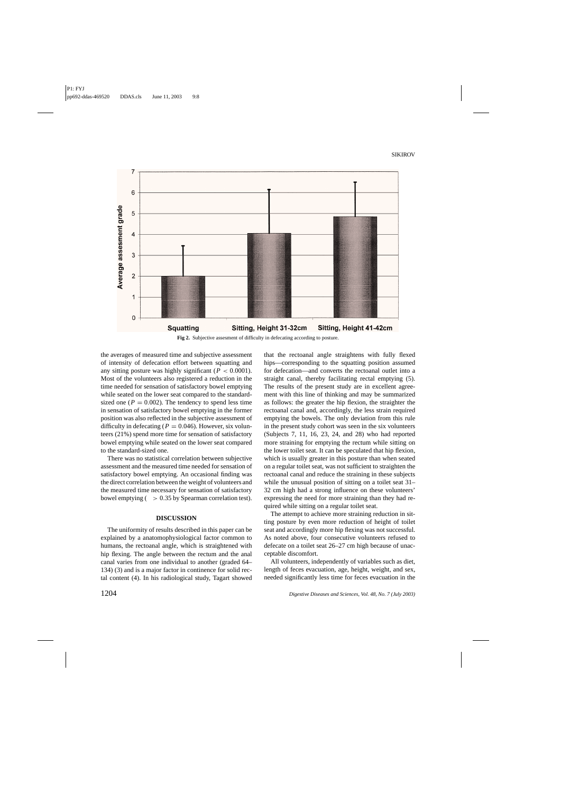

**Fig 2.** Subjective assesment of difficulty in defecating according to posture.

the averages of measured time and subjective assessment of intensity of defecation effort between squatting and any sitting posture was highly significant ( $P < 0.0001$ ). Most of the volunteers also registered a reduction in the time needed for sensation of satisfactory bowel emptying while seated on the lower seat compared to the standardsized one ( $P = 0.002$ ). The tendency to spend less time in sensation of satisfactory bowel emptying in the former position was also reflected in the subjective assessment of difficulty in defecating ( $P = 0.046$ ). However, six volunteers (21%) spend more time for sensation of satisfactory bowel emptying while seated on the lower seat compared to the standard-sized one.

There was no statistical correlation between subjective assessment and the measured time needed for sensation of satisfactory bowel emptying. An occasional finding was the direct correlation between the weight of volunteers and the measured time necessary for sensation of satisfactory bowel emptying  $($  > 0.35 by Spearman correlation test).

#### **DISCUSSION**

The uniformity of results described in this paper can be explained by a anatomophysiological factor common to humans, the rectoanal angle, which is straightened with hip flexing. The angle between the rectum and the anal canal varies from one individual to another (graded 64– 134) (3) and is a major factor in continence for solid rectal content (4). In his radiological study, Tagart showed that the rectoanal angle straightens with fully flexed hips—corresponding to the squatting position assumed for defecation—and converts the rectoanal outlet into a straight canal, thereby facilitating rectal emptying (5). The results of the present study are in excellent agreement with this line of thinking and may be summarized as follows: the greater the hip flexion, the straighter the rectoanal canal and, accordingly, the less strain required emptying the bowels. The only deviation from this rule in the present study cohort was seen in the six volunteers (Subjects 7, 11, 16, 23, 24, and 28) who had reported more straining for emptying the rectum while sitting on the lower toilet seat. It can be speculated that hip flexion, which is usually greater in this posture than when seated on a regular toilet seat, was not sufficient to straighten the rectoanal canal and reduce the straining in these subjects while the unusual position of sitting on a toilet seat 31– 32 cm high had a strong influence on these volunteers' expressing the need for more straining than they had required while sitting on a regular toilet seat.

The attempt to achieve more straining reduction in sitting posture by even more reduction of height of toilet seat and accordingly more hip flexing was not successful. As noted above, four consecutive volunteers refused to defecate on a toilet seat 26–27 cm high because of unacceptable discomfort.

All volunteers, independently of variables such as diet, length of feces evacuation, age, height, weight, and sex, needed significantly less time for feces evacuation in the